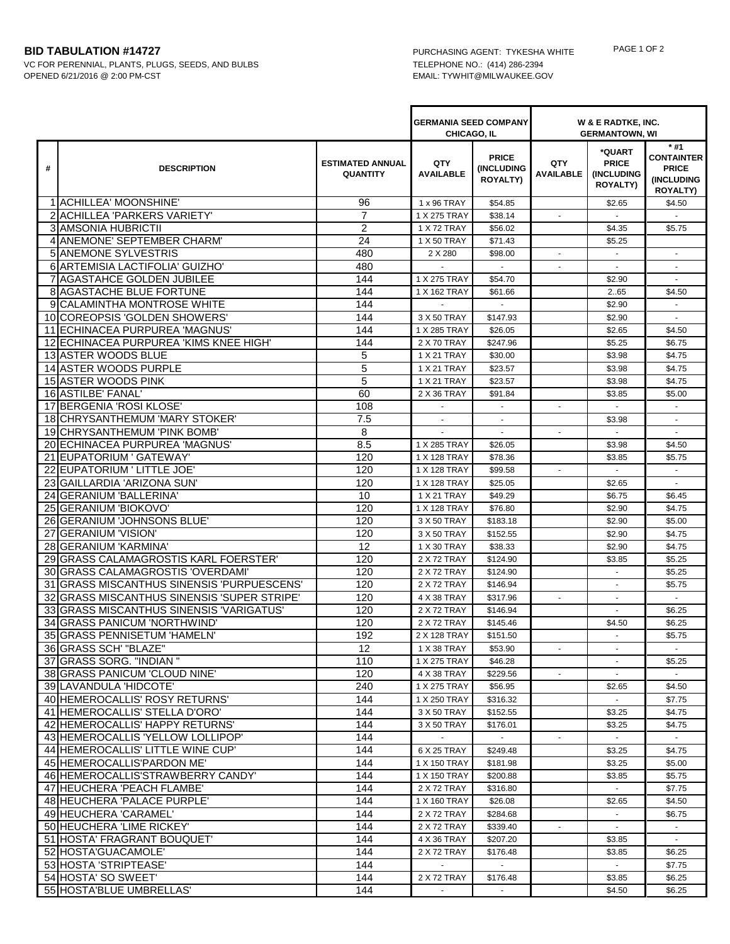## **BID TABULATION #14727** PURCHASING AGENT: TYKESHA WHITE PAGE 1 OF 2

VC FOR PERENNIAL, PLANTS, PLUGS, SEEDS, AND BULBS TELEPHONE NO.: (414) 286-2394 OPENED 6/21/2016 @ 2:00 PM-CST EMAIL: TYWHIT@MILWAUKEE.GOV

|    |                                                              |                                            | <b>GERMANIA SEED COMPANY</b><br>CHICAGO, IL |                                                      | W & E RADTKE, INC.<br><b>GERMANTOWN, WI</b> |                                                                |                                                                             |
|----|--------------------------------------------------------------|--------------------------------------------|---------------------------------------------|------------------------------------------------------|---------------------------------------------|----------------------------------------------------------------|-----------------------------------------------------------------------------|
| #  | <b>DESCRIPTION</b>                                           | <b>ESTIMATED ANNUAL</b><br><b>QUANTITY</b> | QTY<br><b>AVAILABLE</b>                     | <b>PRICE</b><br><b>(INCLUDING</b><br><b>ROYALTY)</b> | QTY<br><b>AVAILABLE</b>                     | *QUART<br><b>PRICE</b><br><b>(INCLUDING</b><br><b>ROYALTY)</b> | $*#1$<br><b>CONTAINTER</b><br><b>PRICE</b><br>(INCLUDING<br><b>ROYALTY)</b> |
|    | 1 ACHILLEA' MOONSHINE'                                       | 96                                         | 1 x 96 TRAY                                 | \$54.85                                              |                                             | \$2.65                                                         | \$4.50                                                                      |
|    | 2 ACHILLEA 'PARKERS VARIETY'                                 | $\overline{7}$                             | 1 X 275 TRAY                                | \$38.14                                              |                                             |                                                                |                                                                             |
|    | <b>3 AMSONIA HUBRICTII</b>                                   | $\overline{2}$                             | 1 X 72 TRAY                                 | \$56.02                                              |                                             | \$4.35                                                         | \$5.75                                                                      |
|    | 4 ANEMONE' SEPTEMBER CHARM'                                  | 24                                         | 1 X 50 TRAY                                 | \$71.43                                              |                                             | \$5.25                                                         |                                                                             |
|    | <b>5IANEMONE SYLVESTRIS</b>                                  | 480                                        | 2 X 280                                     | \$98.00                                              |                                             | $\sim$                                                         | $\sim$                                                                      |
|    | 6 ARTEMISIA LACTIFOLIA' GUIZHO'                              | 480                                        |                                             |                                                      |                                             |                                                                |                                                                             |
|    | 7 AGASTAHCE GOLDEN JUBILEE                                   | 144                                        | 1 X 275 TRAY                                | \$54.70                                              |                                             | \$2.90                                                         | $\sim$                                                                      |
|    | <b>8 AGASTACHE BLUE FORTUNE</b>                              | 144                                        | 1 X 162 TRAY                                | \$61.66                                              |                                             | 265                                                            | \$4.50                                                                      |
|    | 9 CALAMINTHA MONTROSE WHITE                                  | 144                                        |                                             |                                                      |                                             | \$2.90                                                         |                                                                             |
|    | 10 COREOPSIS 'GOLDEN SHOWERS'                                | 144                                        | 3 X 50 TRAY                                 | \$147.93                                             |                                             | \$2.90                                                         |                                                                             |
|    | 11 ECHINACEA PURPUREA 'MAGNUS'                               | 144                                        | 1 X 285 TRAY                                | \$26.05                                              |                                             | \$2.65                                                         | \$4.50                                                                      |
|    | 12 ECHINACEA PURPUREA 'KIMS KNEE HIGH'                       | 144                                        | 2 X 70 TRAY                                 | \$247.96                                             |                                             | \$5.25                                                         | \$6.75                                                                      |
|    | 13 ASTER WOODS BLUE                                          | 5                                          | 1 X 21 TRAY                                 | \$30.00                                              |                                             | \$3.98                                                         | \$4.75                                                                      |
|    | 14 ASTER WOODS PURPLE                                        | 5                                          | 1 X 21 TRAY                                 | \$23.57                                              |                                             | \$3.98                                                         | \$4.75                                                                      |
|    | <b>15 ASTER WOODS PINK</b>                                   | 5                                          | 1 X 21 TRAY                                 | \$23.57                                              |                                             | \$3.98                                                         | \$4.75                                                                      |
|    | 16 ASTILBE' FANAL'                                           | 60                                         | 2 X 36 TRAY                                 | \$91.84                                              |                                             | \$3.85                                                         | \$5.00                                                                      |
| 17 | BERGENIA 'ROSI KLOSE'                                        | 108                                        |                                             | $\blacksquare$                                       | $\blacksquare$                              |                                                                |                                                                             |
|    | 18 CHRYSANTHEMUM 'MARY STOKER'                               | 7.5                                        | $\sim$                                      | $\sim$                                               |                                             | \$3.98                                                         |                                                                             |
|    | 19 CHRYSANTHEMUM 'PINK BOMB'                                 | 8                                          |                                             |                                                      |                                             |                                                                |                                                                             |
|    | 20 ECHINACEA PURPUREA 'MAGNUS'                               | 8.5                                        | 1 X 285 TRAY                                | \$26.05                                              |                                             | \$3.98                                                         | \$4.50                                                                      |
|    | 21 EUPATORIUM ' GATEWAY'                                     | 120                                        | 1 X 128 TRAY                                | \$78.36                                              |                                             | \$3.85                                                         | \$5.75                                                                      |
|    | 22 EUPATORIUM ' LITTLE JOE'                                  | 120                                        | 1 X 128 TRAY                                | \$99.58                                              | $\blacksquare$                              | $\blacksquare$                                                 | $\blacksquare$                                                              |
|    | 23 GAILLARDIA 'ARIZONA SUN'                                  | 120                                        | 1 X 128 TRAY                                | \$25.05                                              |                                             | \$2.65                                                         | $\sim$                                                                      |
|    | 24 GERANIUM 'BALLERINA'                                      | 10                                         | 1 X 21 TRAY                                 | \$49.29                                              |                                             | \$6.75                                                         | \$6.45                                                                      |
|    | 25 GERANIUM 'BIOKOVO'                                        | 120                                        | 1 X 128 TRAY                                | \$76.80                                              |                                             | \$2.90                                                         | \$4.75                                                                      |
|    | 26 GERANIUM 'JOHNSONS BLUE'                                  | 120                                        | 3 X 50 TRAY                                 | \$183.18                                             |                                             | \$2.90                                                         | \$5.00                                                                      |
|    | 27 GERANIUM 'VISION'                                         | 120                                        | 3 X 50 TRAY                                 | \$152.55                                             |                                             | \$2.90                                                         | \$4.75                                                                      |
|    | 28 GERANIUM 'KARMINA'                                        | 12                                         | 1 X 30 TRAY                                 | \$38.33                                              |                                             | \$2.90                                                         | \$4.75                                                                      |
|    | 29 GRASS CALAMAGROSTIS KARL FOERSTER                         | 120                                        | 2 X 72 TRAY                                 | \$124.90                                             |                                             | \$3.85                                                         | \$5.25                                                                      |
|    | 30 GRASS CALAMAGROSTIS 'OVERDAMI'                            | 120                                        | 2 X 72 TRAY                                 | \$124.90                                             |                                             | $\omega$                                                       | \$5.25                                                                      |
|    | 31 GRASS MISCANTHUS SINENSIS 'PURPUESCENS'                   | 120                                        | 2 X 72 TRAY                                 | \$146.94                                             |                                             | $\blacksquare$                                                 | \$5.75                                                                      |
|    | 32 GRASS MISCANTHUS SINENSIS 'SUPER STRIPE'                  | 120                                        | 4 X 38 TRAY                                 | \$317.96                                             | $\sim$                                      |                                                                | $\sim$                                                                      |
|    | 33 GRASS MISCANTHUS SINENSIS 'VARIGATUS'                     | 120                                        | 2 X 72 TRAY                                 | \$146.94                                             |                                             |                                                                | \$6.25                                                                      |
|    | 34 GRASS PANICUM 'NORTHWIND'<br>35 GRASS PENNISETUM 'HAMELN' | 120<br>192                                 | 2 X 72 TRAY                                 | \$145.46<br>\$151.50                                 |                                             | \$4.50<br>$\sim$                                               | \$6.25                                                                      |
|    |                                                              |                                            | 2 X 128 TRAY<br>1 X 38 TRAY                 | \$53.90                                              |                                             |                                                                | \$5.75                                                                      |
|    | 36 GRASS SCH' "BLAZE"<br>37 GRASS SORG. "INDIAN"             | 12<br>110                                  | 1 X 275 TRAY                                | \$46.28                                              |                                             |                                                                | \$5.25                                                                      |
|    | 38 GRASS PANICUM 'CLOUD NINE'                                | 120                                        | 4 X 38 TRAY                                 | \$229.56                                             |                                             |                                                                |                                                                             |
|    | 39 LAVANDULA 'HIDCOTE'                                       | 240                                        | 1 X 275 TRAY                                | \$56.95                                              |                                             | \$2.65                                                         | \$4.50                                                                      |
|    | 40 HEMEROCALLIS' ROSY RETURNS'                               | 144                                        | 1 X 250 TRAY                                | \$316.32                                             |                                             |                                                                | \$7.75                                                                      |
|    | 41 HEMEROCALLIS' STELLA D'ORO'                               | 144                                        | 3 X 50 TRAY                                 | \$152.55                                             |                                             | \$3.25                                                         | \$4.75                                                                      |
|    | 42 HEMEROCALLIS' HAPPY RETURNS'                              | 144                                        | 3 X 50 TRAY                                 | \$176.01                                             |                                             | \$3.25                                                         | \$4.75                                                                      |
|    | 43 HEMEROCALLIS 'YELLOW LOLLIPOP'                            | 144                                        |                                             |                                                      |                                             |                                                                |                                                                             |
|    | 44 HEMEROCALLIS' LITTLE WINE CUP'                            | 144                                        | 6 X 25 TRAY                                 | \$249.48                                             |                                             | \$3.25                                                         | \$4.75                                                                      |
|    | 45 HEMEROCALLIS' PARDON ME'                                  | 144                                        | 1 X 150 TRAY                                | \$181.98                                             |                                             | \$3.25                                                         | \$5.00                                                                      |
|    | 46 HEMEROCALLIS'STRAWBERRY CANDY'                            | 144                                        | 1 X 150 TRAY                                | \$200.88                                             |                                             | \$3.85                                                         | \$5.75                                                                      |
|    | 47 HEUCHERA 'PEACH FLAMBE'                                   | 144                                        | 2 X 72 TRAY                                 | \$316.80                                             |                                             |                                                                | \$7.75                                                                      |
|    | 48 HEUCHERA 'PALACE PURPLE'                                  | 144                                        | 1 X 160 TRAY                                | \$26.08                                              |                                             | \$2.65                                                         | \$4.50                                                                      |
|    | 49 HEUCHERA 'CARAMEL'                                        | 144                                        | 2 X 72 TRAY                                 | \$284.68                                             |                                             | $\sim$                                                         | \$6.75                                                                      |
|    | 50 HEUCHERA 'LIME RICKEY'                                    | 144                                        | 2 X 72 TRAY                                 | \$339.40                                             |                                             |                                                                | $\sim$                                                                      |
|    | 51 HOSTA' FRAGRANT BOUQUET'                                  | 144                                        | 4 X 36 TRAY                                 | \$207.20                                             |                                             | \$3.85                                                         | $\sim$                                                                      |
|    | 52 HOSTA'GUACAMOLE'                                          | 144                                        | 2 X 72 TRAY                                 | \$176.48                                             |                                             | \$3.85                                                         | \$6.25                                                                      |
|    | 53 HOSTA 'STRIPTEASE'                                        | 144                                        | $\mathbf{r}$                                |                                                      |                                             | $\omega$                                                       | \$7.75                                                                      |
|    | 54 HOSTA' SO SWEET'                                          | 144                                        | 2 X 72 TRAY                                 | \$176.48                                             |                                             | \$3.85                                                         | \$6.25                                                                      |
|    | 55 HOSTA'BLUE UMBRELLAS'                                     | 144                                        | $\sim$                                      | $\sim$                                               |                                             | \$4.50                                                         | \$6.25                                                                      |